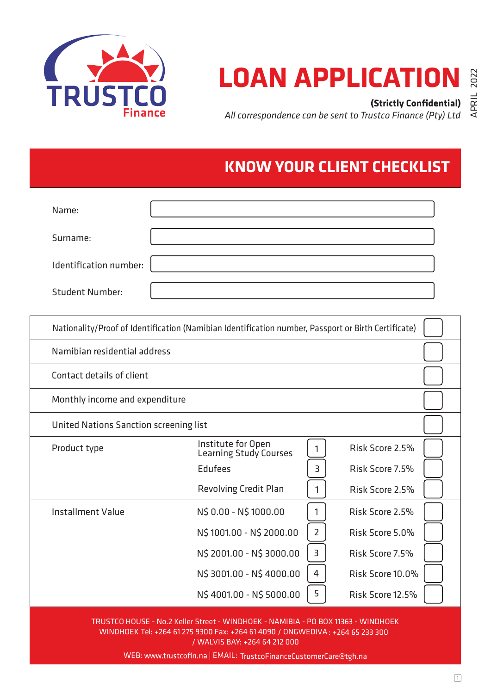

# **LOAN APPLICATION &**

*All correspondence can be sent to Trustco Finance (Pty) Ltd* **(Strictly Confidential)**  $\begin{array}{cc} \rightrightarrows & \rightrightarrows \\ \rightrightarrows & \rightrightarrows \\ \rightrightarrows & \rightrightarrows \rightrightarrows \rightrightarrows \rightrightarrows \rightrightarrows \rightrightarrows$ 

## **KNOW YOUR CLIENT CHECKLIST**

| Name:                  |  |
|------------------------|--|
| Surname:               |  |
| Identification number: |  |
| <b>Student Number:</b> |  |

| Nationality/Proof of Identification (Namibian Identification number, Passport or Birth Certificate) |                                              |                                   |  |  |  |  |  |  |
|-----------------------------------------------------------------------------------------------------|----------------------------------------------|-----------------------------------|--|--|--|--|--|--|
|                                                                                                     | Namibian residential address                 |                                   |  |  |  |  |  |  |
| Contact details of client                                                                           |                                              |                                   |  |  |  |  |  |  |
|                                                                                                     | Monthly income and expenditure               |                                   |  |  |  |  |  |  |
| United Nations Sanction screening list                                                              |                                              |                                   |  |  |  |  |  |  |
| Product type                                                                                        | Institute for Open<br>Learning Study Courses | Risk Score 2.5%<br>1              |  |  |  |  |  |  |
|                                                                                                     | Edufees                                      | Risk Score 7.5%<br>3              |  |  |  |  |  |  |
|                                                                                                     | <b>Revolving Credit Plan</b>                 | Risk Score 2.5%<br>1              |  |  |  |  |  |  |
| <b>Installment Value</b>                                                                            | N\$ 0.00 - N\$ 1000.00                       | 1<br>Risk Score 2.5%              |  |  |  |  |  |  |
|                                                                                                     | N\$ 1001.00 - N\$ 2000.00                    | $\overline{2}$<br>Risk Score 5.0% |  |  |  |  |  |  |
|                                                                                                     | N\$ 2001.00 - N\$ 3000.00                    | 3<br>Risk Score 7.5%              |  |  |  |  |  |  |
|                                                                                                     | N\$ 3001.00 - N\$ 4000.00                    | 4<br>Risk Score 10.0%             |  |  |  |  |  |  |
|                                                                                                     | N\$4001.00 - N\$5000.00                      | 5<br>Risk Score 12.5%             |  |  |  |  |  |  |
|                                                                                                     | $\mathbf{r}$                                 |                                   |  |  |  |  |  |  |

TRUSTCO HOUSE - No.2 Keller Street - WINDHOEK - NAMIBIA - PO BOX 11363 - WINDHOEK WINDHOEK Tel: +264 61 275 9300 Fax: +264 61 4090 / ONGWEDIVA : +264 65 233 300 / WALVIS BAY: +264 64 212 000

WEB: www.trustcofin.na | EMAIL: TrustcoFinanceCustomerCare@tgh.na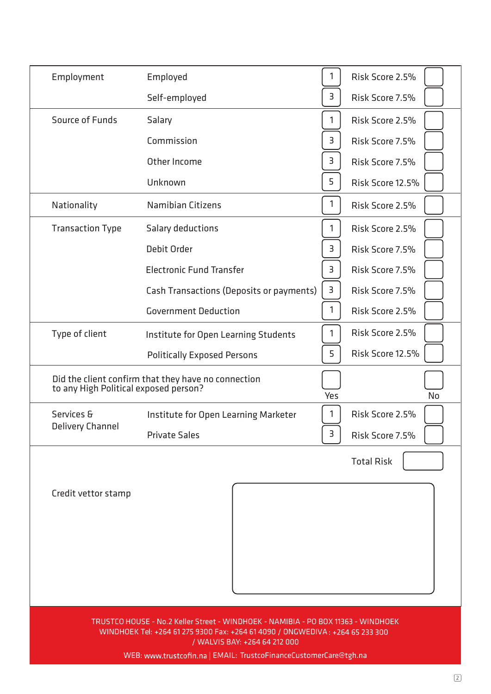| Employment                                                                                                                                                                                                                                                               | Employed                                                                                     | $\mathbf{1}$ | Risk Score 2.5%   |  |  |  |  |
|--------------------------------------------------------------------------------------------------------------------------------------------------------------------------------------------------------------------------------------------------------------------------|----------------------------------------------------------------------------------------------|--------------|-------------------|--|--|--|--|
|                                                                                                                                                                                                                                                                          | Self-employed                                                                                | 3            | Risk Score 7.5%   |  |  |  |  |
| Source of Funds                                                                                                                                                                                                                                                          | Salary                                                                                       | 1            | Risk Score 2.5%   |  |  |  |  |
|                                                                                                                                                                                                                                                                          | Commission                                                                                   | 3            | Risk Score 7.5%   |  |  |  |  |
|                                                                                                                                                                                                                                                                          | Other Income                                                                                 | 3            | Risk Score 7.5%   |  |  |  |  |
|                                                                                                                                                                                                                                                                          | Unknown                                                                                      | 5            | Risk Score 12.5%  |  |  |  |  |
| Nationality                                                                                                                                                                                                                                                              | <b>Namibian Citizens</b>                                                                     | 1            | Risk Score 2.5%   |  |  |  |  |
| <b>Transaction Type</b>                                                                                                                                                                                                                                                  | Salary deductions                                                                            | 1            | Risk Score 2.5%   |  |  |  |  |
|                                                                                                                                                                                                                                                                          | Debit Order                                                                                  | 3            | Risk Score 7.5%   |  |  |  |  |
|                                                                                                                                                                                                                                                                          | <b>Electronic Fund Transfer</b>                                                              | 3            | Risk Score 7.5%   |  |  |  |  |
|                                                                                                                                                                                                                                                                          | Cash Transactions (Deposits or payments)                                                     | 3            | Risk Score 7.5%   |  |  |  |  |
|                                                                                                                                                                                                                                                                          | <b>Government Deduction</b>                                                                  | 1            | Risk Score 2.5%   |  |  |  |  |
| Type of client                                                                                                                                                                                                                                                           | Institute for Open Learning Students                                                         | 1            | Risk Score 2.5%   |  |  |  |  |
|                                                                                                                                                                                                                                                                          | <b>Politically Exposed Persons</b>                                                           | 5            | Risk Score 12.5%  |  |  |  |  |
|                                                                                                                                                                                                                                                                          | Did the client confirm that they have no connection<br>to any High Political exposed person? | Yes          | <b>No</b>         |  |  |  |  |
| Services &                                                                                                                                                                                                                                                               | Institute for Open Learning Marketer                                                         | 1            | Risk Score 2.5%   |  |  |  |  |
| <b>Delivery Channel</b>                                                                                                                                                                                                                                                  | <b>Private Sales</b>                                                                         | 3            | Risk Score 7.5%   |  |  |  |  |
|                                                                                                                                                                                                                                                                          |                                                                                              |              | <b>Total Risk</b> |  |  |  |  |
| Credit vettor stamp                                                                                                                                                                                                                                                      |                                                                                              |              |                   |  |  |  |  |
| TRUSTCO HOUSE - No.2 Keller Street - WINDHOEK - NAMIBIA - PO BOX 11363 - WINDHOEK<br>WINDHOEK Tel: +264 61 275 9300 Fax: +264 61 4090 / ONGWEDIVA: +264 65 233 300<br>/ WALVIS BAY: +264 64 212 000<br>WEB: www.trustcofin.na   EMAIL: TrustcoFinanceCustomerCare@tgh.na |                                                                                              |              |                   |  |  |  |  |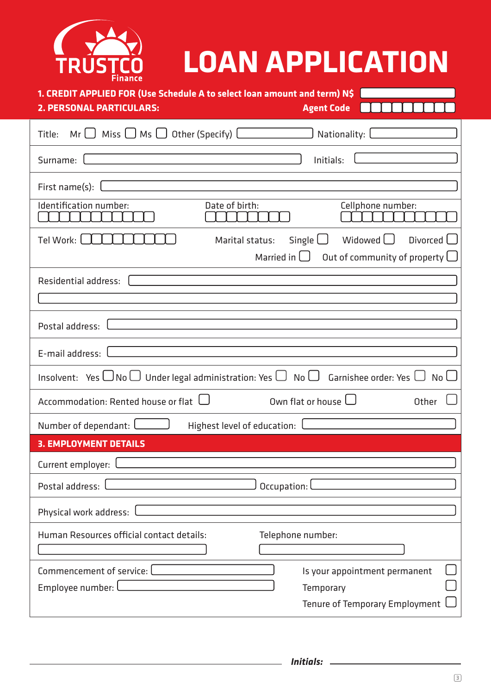| <b>LOAN APPLICATION</b><br>URU<br>Finance                                                                                                        |
|--------------------------------------------------------------------------------------------------------------------------------------------------|
| 1. CREDIT APPLIED FOR (Use Schedule A to select loan amount and term) N\$<br><b>2. PERSONAL PARTICULARS:</b><br><b>Agent Code</b>                |
| $Mr \cup$ Miss $\cup$ Ms $\cup$ Other (Specify) $\Box$<br>Nationality: L<br>Title:                                                               |
| Surname:<br>Initials:                                                                                                                            |
| First name(s):                                                                                                                                   |
| Identification number:<br>Date of birth:<br>Cellphone number:                                                                                    |
| Tel Work: [<br>Single $\Box$<br>Divorced [<br>Widowed U<br>Marital status:<br>Out of community of property $\Box$<br>Married in $\Box$           |
| Residential address:                                                                                                                             |
| Postal address:                                                                                                                                  |
| E-mail address:                                                                                                                                  |
| Insolvent: Yes $\bigcup$ No $\bigcup$ Under legal administration: Yes $\bigcup$<br>$No \cup$<br>Garnishee order: Yes l<br>No <sub>l</sub>        |
| Own flat or house $\Box$<br>Accommodation: Rented house or flat $\,\Box\,$<br>Other                                                              |
| Number of dependant:<br>Highest level of education: Letterman and Highest level of education:                                                    |
| <b>3. EMPLOYMENT DETAILS</b>                                                                                                                     |
| Current employer: l                                                                                                                              |
| Postal address:<br>Occupation: L                                                                                                                 |
| Physical work address: l<br><u> 1980 - Johann Stein, marwolaethau a bhann an t-Amhair Aonaichte ann an t-Amhair Aonaichte ann an t-Amhair Ao</u> |
| Human Resources official contact details:<br>Telephone number:                                                                                   |
| Commencement of service: Lettermanaged<br>Is your appointment permanent<br>Employee number: L<br>Temporary<br>Tenure of Temporary Employment U   |

L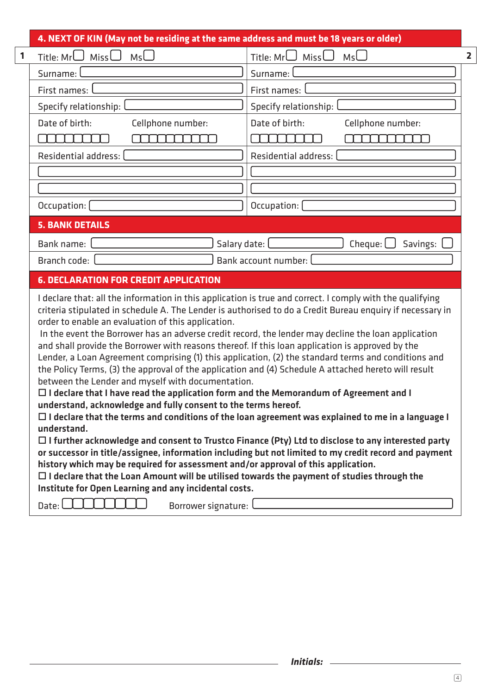| $M_5 \cup$<br>Title: $Mr$<br>Miss $\bigcup$                                                                                                                                                                                                                                                                                                                                                                                                                                                                                                                                                                                                                                                                                                                                                                                                                                                                                                                                                                                                                                                                                                                                                                                                                                                                                                                                                                                                                                                                                       |                                           |  |  |  |  |  |
|-----------------------------------------------------------------------------------------------------------------------------------------------------------------------------------------------------------------------------------------------------------------------------------------------------------------------------------------------------------------------------------------------------------------------------------------------------------------------------------------------------------------------------------------------------------------------------------------------------------------------------------------------------------------------------------------------------------------------------------------------------------------------------------------------------------------------------------------------------------------------------------------------------------------------------------------------------------------------------------------------------------------------------------------------------------------------------------------------------------------------------------------------------------------------------------------------------------------------------------------------------------------------------------------------------------------------------------------------------------------------------------------------------------------------------------------------------------------------------------------------------------------------------------|-------------------------------------------|--|--|--|--|--|
|                                                                                                                                                                                                                                                                                                                                                                                                                                                                                                                                                                                                                                                                                                                                                                                                                                                                                                                                                                                                                                                                                                                                                                                                                                                                                                                                                                                                                                                                                                                                   | $M_5 \cup$<br>Title: $MrL$<br>Miss $\Box$ |  |  |  |  |  |
| Surname:                                                                                                                                                                                                                                                                                                                                                                                                                                                                                                                                                                                                                                                                                                                                                                                                                                                                                                                                                                                                                                                                                                                                                                                                                                                                                                                                                                                                                                                                                                                          | Surname:                                  |  |  |  |  |  |
| First names:                                                                                                                                                                                                                                                                                                                                                                                                                                                                                                                                                                                                                                                                                                                                                                                                                                                                                                                                                                                                                                                                                                                                                                                                                                                                                                                                                                                                                                                                                                                      | First names:                              |  |  |  |  |  |
| Specify relationship:                                                                                                                                                                                                                                                                                                                                                                                                                                                                                                                                                                                                                                                                                                                                                                                                                                                                                                                                                                                                                                                                                                                                                                                                                                                                                                                                                                                                                                                                                                             | Specify relationship:                     |  |  |  |  |  |
| Date of birth:<br>Cellphone number:                                                                                                                                                                                                                                                                                                                                                                                                                                                                                                                                                                                                                                                                                                                                                                                                                                                                                                                                                                                                                                                                                                                                                                                                                                                                                                                                                                                                                                                                                               | Date of birth:<br>Cellphone number:       |  |  |  |  |  |
|                                                                                                                                                                                                                                                                                                                                                                                                                                                                                                                                                                                                                                                                                                                                                                                                                                                                                                                                                                                                                                                                                                                                                                                                                                                                                                                                                                                                                                                                                                                                   |                                           |  |  |  |  |  |
| Residential address:                                                                                                                                                                                                                                                                                                                                                                                                                                                                                                                                                                                                                                                                                                                                                                                                                                                                                                                                                                                                                                                                                                                                                                                                                                                                                                                                                                                                                                                                                                              | Residential address:                      |  |  |  |  |  |
|                                                                                                                                                                                                                                                                                                                                                                                                                                                                                                                                                                                                                                                                                                                                                                                                                                                                                                                                                                                                                                                                                                                                                                                                                                                                                                                                                                                                                                                                                                                                   |                                           |  |  |  |  |  |
|                                                                                                                                                                                                                                                                                                                                                                                                                                                                                                                                                                                                                                                                                                                                                                                                                                                                                                                                                                                                                                                                                                                                                                                                                                                                                                                                                                                                                                                                                                                                   |                                           |  |  |  |  |  |
| Occupation: [                                                                                                                                                                                                                                                                                                                                                                                                                                                                                                                                                                                                                                                                                                                                                                                                                                                                                                                                                                                                                                                                                                                                                                                                                                                                                                                                                                                                                                                                                                                     | Occupation:                               |  |  |  |  |  |
| <b>5. BANK DETAILS</b>                                                                                                                                                                                                                                                                                                                                                                                                                                                                                                                                                                                                                                                                                                                                                                                                                                                                                                                                                                                                                                                                                                                                                                                                                                                                                                                                                                                                                                                                                                            |                                           |  |  |  |  |  |
| Salary date: [<br>Cheque: $\Box$<br>Bank name:<br>Savings:                                                                                                                                                                                                                                                                                                                                                                                                                                                                                                                                                                                                                                                                                                                                                                                                                                                                                                                                                                                                                                                                                                                                                                                                                                                                                                                                                                                                                                                                        |                                           |  |  |  |  |  |
| Branch code:<br>Bank account number:                                                                                                                                                                                                                                                                                                                                                                                                                                                                                                                                                                                                                                                                                                                                                                                                                                                                                                                                                                                                                                                                                                                                                                                                                                                                                                                                                                                                                                                                                              |                                           |  |  |  |  |  |
| <b>6. DECLARATION FOR CREDIT APPLICATION</b>                                                                                                                                                                                                                                                                                                                                                                                                                                                                                                                                                                                                                                                                                                                                                                                                                                                                                                                                                                                                                                                                                                                                                                                                                                                                                                                                                                                                                                                                                      |                                           |  |  |  |  |  |
| I declare that: all the information in this application is true and correct. I comply with the qualifying<br>criteria stipulated in schedule A. The Lender is authorised to do a Credit Bureau enquiry if necessary in<br>order to enable an evaluation of this application.<br>In the event the Borrower has an adverse credit record, the lender may decline the loan application<br>and shall provide the Borrower with reasons thereof. If this loan application is approved by the<br>Lender, a Loan Agreement comprising (1) this application, (2) the standard terms and conditions and<br>the Policy Terms, (3) the approval of the application and (4) Schedule A attached hereto will result<br>between the Lender and myself with documentation.<br>$\Box$ I declare that I have read the application form and the Memorandum of Agreement and I<br>understand, acknowledge and fully consent to the terms hereof.<br>$\Box$ I declare that the terms and conditions of the loan agreement was explained to me in a language I<br>understand.<br>$\Box$ I further acknowledge and consent to Trustco Finance (Pty) Ltd to disclose to any interested party<br>or successor in title/assignee, information including but not limited to my credit record and payment<br>history which may be required for assessment and/or approval of this application.<br>$\Box$ I declare that the Loan Amount will be utilised towards the payment of studies through the<br>Institute for Open Learning and any incidental costs. |                                           |  |  |  |  |  |
|                                                                                                                                                                                                                                                                                                                                                                                                                                                                                                                                                                                                                                                                                                                                                                                                                                                                                                                                                                                                                                                                                                                                                                                                                                                                                                                                                                                                                                                                                                                                   |                                           |  |  |  |  |  |

*Initials:*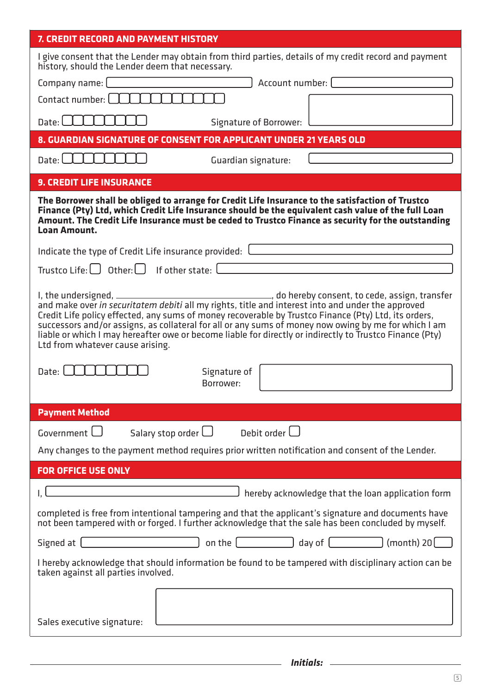### **7. CREDIT RECORD AND PAYMENT HISTORY**

| I give consent that the Lender may obtain from third parties, details of my credit record and payment<br>history, should the Lender deem that necessary.                                                                                                                                                                                                                                                                                                          |  |  |  |  |  |  |
|-------------------------------------------------------------------------------------------------------------------------------------------------------------------------------------------------------------------------------------------------------------------------------------------------------------------------------------------------------------------------------------------------------------------------------------------------------------------|--|--|--|--|--|--|
| Company name: L<br>Account number: [                                                                                                                                                                                                                                                                                                                                                                                                                              |  |  |  |  |  |  |
| Contact number: [                                                                                                                                                                                                                                                                                                                                                                                                                                                 |  |  |  |  |  |  |
| Date: $\Box$<br>Signature of Borrower:                                                                                                                                                                                                                                                                                                                                                                                                                            |  |  |  |  |  |  |
| 8. GUARDIAN SIGNATURE OF CONSENT FOR APPLICANT UNDER 21 YEARS OLD                                                                                                                                                                                                                                                                                                                                                                                                 |  |  |  |  |  |  |
| Date: $\Box$<br>Guardian signature:                                                                                                                                                                                                                                                                                                                                                                                                                               |  |  |  |  |  |  |
| <b>9. CREDIT LIFE INSURANCE</b>                                                                                                                                                                                                                                                                                                                                                                                                                                   |  |  |  |  |  |  |
| The Borrower shall be obliged to arrange for Credit Life Insurance to the satisfaction of Trustco<br>Finance (Pty) Ltd, which Credit Life Insurance should be the equivalent cash value of the full Loan<br>Amount. The Credit Life Insurance must be ceded to Trustco Finance as security for the outstanding<br>Loan Amount.                                                                                                                                    |  |  |  |  |  |  |
| Indicate the type of Credit Life insurance provided: Later and a set of the state of the state of the state of                                                                                                                                                                                                                                                                                                                                                    |  |  |  |  |  |  |
| Trustco Life: $\bigcup$ Other: $\bigcup$ If other state: $\bigcup$                                                                                                                                                                                                                                                                                                                                                                                                |  |  |  |  |  |  |
| and make over in securitatem debiti all my rights, title and interest into and under the approved<br>Credit Life policy effected, any sums of money recoverable by Trustco Finance (Pty) Ltd, its orders,<br>successors and/or assigns, as collateral for all or any sums of money now owing by me for which I am<br>liable or which I may hereafter owe or become liable for directly or indirectly to Trustco Finance (Pty)<br>Ltd from whatever cause arising. |  |  |  |  |  |  |
| Date: l<br>Signature of<br>Borrower:                                                                                                                                                                                                                                                                                                                                                                                                                              |  |  |  |  |  |  |
| <b>Payment Method</b>                                                                                                                                                                                                                                                                                                                                                                                                                                             |  |  |  |  |  |  |
| Government L<br>Debit order L<br>Salary stop order $\Box$                                                                                                                                                                                                                                                                                                                                                                                                         |  |  |  |  |  |  |
| Any changes to the payment method requires prior written notification and consent of the Lender.                                                                                                                                                                                                                                                                                                                                                                  |  |  |  |  |  |  |
|                                                                                                                                                                                                                                                                                                                                                                                                                                                                   |  |  |  |  |  |  |
| <b>FOR OFFICE USE ONLY</b>                                                                                                                                                                                                                                                                                                                                                                                                                                        |  |  |  |  |  |  |
| hereby acknowledge that the loan application form                                                                                                                                                                                                                                                                                                                                                                                                                 |  |  |  |  |  |  |
| completed is free from intentional tampering and that the applicant's signature and documents have<br>not been tampered with or forged. I further acknowledge that the sale has been concluded by myself.                                                                                                                                                                                                                                                         |  |  |  |  |  |  |
| Signed at $\boxed{\phantom{a}}$ on the $\boxed{\phantom{a}}$ day of $\boxed{\phantom{a}}$ (month) 20 $\boxed{\phantom{a}}$                                                                                                                                                                                                                                                                                                                                        |  |  |  |  |  |  |
| I hereby acknowledge that should information be found to be tampered with disciplinary action can be<br>taken against all parties involved.                                                                                                                                                                                                                                                                                                                       |  |  |  |  |  |  |
| <u> 1989 - Johann Harry Harry Harry Harry Harry Harry Harry Harry Harry Harry Harry Harry Harry Harry Harry Harry</u><br>Sales executive signature:                                                                                                                                                                                                                                                                                                               |  |  |  |  |  |  |

 $\mathcal{L}_{\text{max}}$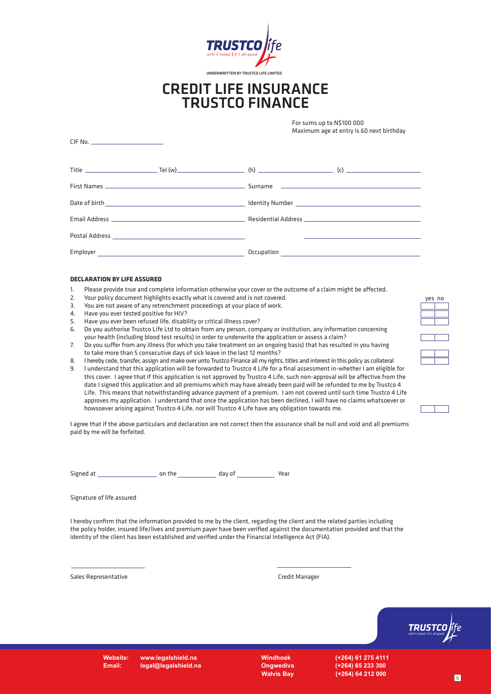

### CREDIT LIFE INSURANCE TRUSTCO FINANCE

For sums up to N\$100 000 Maximum age at entry is 60 next birthday

| Employer | <u> 1989 - Andrea Stadt, fransk politiker (d. 1989)</u> | Occupation |  |
|----------|---------------------------------------------------------|------------|--|

#### **DECLARATION BY LIFE ASSURED**

CIF No.

- 1. Please provide true and complete information otherwise your cover or the outcome of a claim might be affected.
- 2. Your policy document highlights exactly what is covered and is not covered.
- 3. You are not aware of any retrenchment proceedings at your place of work.
- 4. Have you ever tested positive for HIV?
- 5. Have you ever been refused life, disability or critical illness cover?<br>6. Do you authorise Trustro Life Ltd to obtain from any nerson, come
- 6. Do you authorise Trustco Life Ltd to obtain from any person, company or institution, any information concerning your health (including blood test results) in order to underwrite the application or assess a claim?
- 7. Do you suffer from any illness (for which you take treatment on an ongoing basis) that has resulted in you having to take more than 5 consecutive days of sick leave in the last 12 months?
- 8. I hereby cede, transfer, assign and make over unto Trustco Finance all my rights, titles and interest in this policy as collateral
- 9. I understand that this application will be forwarded to Trustco 4 Life for a final assessment in-whether I am eligible for this cover. I agree that if this application is not approved by Trustco 4 Life, such non-approval will be affective from the date I signed this application and all premiums which may have already been paid will be refunded to me by Trustco 4 Life. This means that notwithstanding advance payment of a premium. I am not covered until such time Trustco 4 Life approves my application. I understand that once the application has been declined, I will have no claims whatsoever or howsoever arising against Trustco 4 Life, nor will Trustco 4 Life have any obligation towards me.

I agree that if the above particulars and declaration are not correct then the assurance shall be null and void and all premiums paid by me will be forfeited.

Signed at on the day of Year

Signature of life assured

I hereby confirm that the information provided to me by the client, regarding the client and the related parties including the policy holder, insured life/lives and premium payer have been verified against the documentation provided and that the identity of the client has been established and verified under the Financial Intelligence Act (FIA).

Sales Representative Called The Credit Manager Credit Manager



**Website: www.legalshield.na Email: legal@legalshield.na**

**Windhoek (+264) 61 275 4111 Ongwediva (+264) 65 233 300 Walvis Bay (+264) 64 212 000**

yes no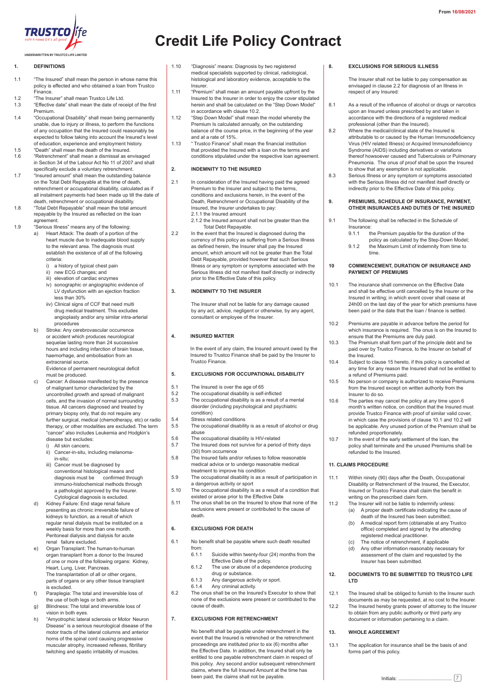

#### **1. DEFINITIONS**

- 1.1 "The Insured" shall mean the person in whose name this policy is effected and who obtained a loan from Trustco Finance.
- 1.2 "The Insurer" shall mean Trustco Life Ltd. 1.3 "Effective date" shall mean the date of receipt of the first
- Premium.
- 1.4 "Occupational Disability" shall mean being permanently unable, due to injury or illness, to perform the functions of any occupation that the Insured could reasonably be expected to follow taking into account the Insured's level of education, experience and employment history.
- 1.5 "Death" shall mean the death of the Insured.<br>1.6 "Retrenchment" shall mean a dismissal as e 1.6 "Retrenchment" shall mean a dismissal as envisaged
- in Section 34 of the Labour Act No 11 of 2007 and shall specifically exclude a voluntary retrenchment.
- 1.7 "Insured amount" shall mean the outstanding balance on the Total Debt Repayable at the time of death, retrenchment or accupational disability, calculated as if all instalment payments had been made up till the date of death, retrenchment or occupational disability.
- 1.8 "Total Debt Repayable" shall mean the total amount repayable by the Insured as reflected on the loan agreement.
- 1.9 "Serious Illness" means any of the following:
	- a) Heart Attack: The death of a portion of the heart muscle due to inadequate blood supply to the relevant area. The diagnosis must establish the existence of all of the following criteria:
		- i) a history of typical chest pain
		- ii) new ECG changes; and
		- iii) elevation of cardiac enzymes iv) sonographic or angiographic evidence of LV dysfunction with an ejection fraction less than 30%
		- iiv) Clinical signs of CCF that need multi drug medical treatment. This excludes angioplasty and/or any similar intra-arterial procedures
	- b) Stroke: Any cerebrovascular occurrence or accident which produces neurological sequelae lasting more than 24 successive hours and including infarction of brain tissue, haemorhage, and embolisation from an extracranial source. Evidence of permanent neurological deficit
	- must be produced. Cancer: A disease manifested by the presence of malignant tumor characterized by the uncontrolled growth and spread of malignant cells, and the invasion of normal surrounding tissue. All cancers diagnosed and treated by primary biopsy only, that do not require any further surgical, medical (chemotherapy, etc) or radio therapy, or other modalities are excluded. The term "cancer" also includes Leukemia and Hodgkin's disease but excludes:

i) All skin cancers;

- ii) Cancer-in-situ, including melanoma in-situ;
- iii) Cancer must be diagnosed by conventional histological means and diagnosis must be confirmed through immuno-histochemical methods through a pathologist approved by the Insurer. Cytological diagnosis is excluded.
- d) Kidney Failure: End stage renal failure presenting as chronic irreversible failure of kidneys to function, as a result of which regular renal dialysis must be instituted on a weekly basis for more than one month. Peritoneal dialysis and dialysis for acute renal failure excluded.
- e) Organ Transplant: The human-to-human organ transplant from a donor to the Insured of one or more of the following organs: Kidney, Heart, Lung, Liver, Pancreas. The transplantation of all or other organs, parts of organs or any other tissue transplant is excluded.
- f) Paraplegia: The total and irreversible loss of the use of both legs or both arms. g) Blindness: The total and irreversible loss of
- vision in both eyes.
- h) "Amyotrophic lateral sclerosis or Motor Neuron Disease" is a serious neurological disease of the motor tracts of the lateral columns and anterior horns of the spinal cord causing progressive muscular atrophy, increased reflexes, fibrillary twitching and spastic irritability of muscles.

## **Credit Life Policy Contract**

- 1.10 "Diagnosis" means: Diagnosis by two registered medical specialists supported by clinical, radiological, histological and laboratory evidence, acceptable to the Insurer.
- 1.11 "Premium" shall mean an amount payable upfront by the Insured to the Insurer in order to enjoy the cover stipulated herein and shall be calculated on the "Step Down Model" in accordance with clause 10.2.
- 1.12 "Step Down Model" shall mean the model whereby the Premium Is calculated annually, on the outstanding balance of the course price, in the beginning of the year and at a rate of 15%.
- 1.13 " Trustco Finance" shall mean the financial institution that provided the Insured with a loan on the terms and conditions stipulated under the respective loan agreement.

#### **2. INDEMNITY TO THE INSURED**

- 2.1 In consideration of the Insured having paid the agreed Premium to the Insurer and subject to the terms conditions and exclusions herein, in the event of the Death, Retrenchment or Occupational Disability of the Insured, the Insurer undertakes to pay: 2.1.1 the Insured amount
	- 2.1.2 the Insured amount shall not be greater than the Total Debt Repayable.
- 2.2 In the event that the Insured is diagnosed during the currency of this policy as suffering from a Serious Illness as defined herein, the Insurer shall pay the Insured amount, which amount will not be greater than the Total Debt Repayable, provided however that such Serious Illness or any symptom or symptoms associated with the Serious Illness did not manifest itself directly or indirectly prior to the Effective Date of this policy.

#### **3. INDEMNITY TO THE INSURER**

The Insurer shall not be liable for any damage caused by any act, advice, negligent or otherwise, by any agent, consultant or employee of the Insurer.

#### **4. INSURED MATTER**

In the event of any claim, the Insured amount owed by the Insured to Trustco Finance shall be paid by the Insurer to Trustco Finance.

#### **5. EXCLUSIONS FOR OCCUPATIONAL DISABILITY**

- 5.1 The Insured is over the age of 65<br>5.2 The occupational disability is self-
- 5.2 The occupational disability is self-inflicted<br>5.3 The occupational disability is as a result of
- The occupational disability is as a result of a mental disorder (including psychological and psychiatric condition)
- 5.4 Stress related conditions<br>5.5 The occupational disability
- The occupational disability is as a result of alcohol or drug abuse
- 5.6 The occupational disability is HIV-related 5.7 The Insured does not survive for a period of thirty days
- (30) from occurrence
- 5.8 The Insured fails and/or refuses to follow reasonable medical advice or to undergo reasonable medical treatment to improve his condition
- 5.9 The occupational disability is as a result of participation in a dangerous activity or sport
- 5.10 The occupational disability is as a result of a condition that existed or arose prior to the Effective Date
- 5.11 The onus shall be on the Insured to show that none of the exclusions were present or contributed to the cause of death

#### **6. EXCLUSIONS FOR DEATH**

- 6.1 No benefit shall be payable where such death resulted from:<br> $6.1.1$ 
	- Suicide within twenty-four (24) months from the Effective Date of the policy.
	- 6.1.2 The use or abuse of a dependence producing drug or substance.
	- 6.1.3 Any dangerous activity or sport.
	- 6.1.4 Any criminal activity.
- 6.2 The onus shall be on the Insured's Executor to show that none of the exclusions were present or contributed to the cause of death.

#### **7. EXCLUSIONS FOR RETRENCHMENT**

No benefit shall be payable under retrenchment in the event that the Insured is retrenched or the retrenchment proceedings are instituted prior to six (6) months after the Effective Date. In addition, the Insured shall only be entitled to one payable retrenchment claim in respect of this policy. Any second and/or subsequent retrenchment claims, where the full Insured Amount at the time has been paid, the claims shall not be payable.

#### **8. EXCLUSIONS FOR SERIOUS ILLNESS**

The Insurer shall not be liable to pay compensation as envisaged in clause 2.2 for diagnosis of an Illness in respect of any Insured:

- 8.1 As a result of the influence of alcohol or drugs or narcotics upon an Insured unless prescribed by and taken in accordance with the directions of a registered medical professional (other than the Insured).
- B.2 Where the medical/clinical state of the Insured is attributable to or caused by the Human Immunodeficiency Virus (HIV related Illness) or Acquired Immunodeficiency Syndrome (AIDS) including derivatives or variations thereof howsoever caused and Tuberculosis or Pulmonary Pneumonia. The onus of proof shall be upon the Insured to show that any exemption is not applicable.
- 8.3 Serious Illness or any symptom or symptoms associated with the Serious Illness did not manifest itself directly or indirectly prior to the Effective Date of this policy.

#### **9. PREMIUMS, SCHEDULE OF INSURANCE, PAYMENT, OTHER INSURANCES AND DUTIES OF THE INSURED**

- 9.1 The following shall be reflected in the Schedule of Insurance:<br> $9.1.1$ 
	- the Premium payable for the duration of the policy as calculated by the Step-Down Model;
	- 9.1.2 the Maximum Limit of indemnity from time to time.

#### **10 COMMENCEMENT, DURATION OF INSURANCE AND PAYMENT OF PREMIUMS**

- 10.1 The insurance shall commence on the Effective Date and shall be effective until cancelled by the Insurer or the Insured in writing; in which event cover shall cease at 24h00 on the last day of the year for which premiums have been paid or the date that the loan / finance is settled.
- 10.2 Premiums are payable in advance before the period for which insurance is required. The onus is on the Insured to ensure that the Premiums are duly paid.
- 10.3 The Premium shall form part of the principle debt and be paid over by Trustco Finance, to the Insurer on behalf of the Insured.
- 10.4 Subject to clause 15 hereto, if this policy is cancelled at any time for any reason the Insured shall not be entitled to a refund of Premiums paid.
- 10.5 No person or company is authorized to receive Premiums from the Insured except on written authority from the Insurer to do so.
- 10.6 The parties may cancel the policy at any time upon 6 month's written notice, on condition that the Insured must provide Trustco Finance with proof of similar valid cover, in which case the provisions of clause 10.1 and 10.2 will be applicable. Any unused portion of the Premium shall be refunded proportionately.
- 10.7 In the event of the early settlement of the loan, the policy shall terminate and the unused Premiums shall be refunded to the Insured.

#### **11. CLAIMS PROCEDURE**

- 11.1 Within ninety (90) days after the Death, Occupational Disability or Retrenchment of the Insured, the Executor, Insured or Trustco Finance shall claim the benefit in writing on the prescribed claim form.
- 11.2 The Insurer will not be liable to indemnify unless: (a) A proper death certificate indicating the cause of death of the Insured has been submitted;
	- (b) A medical report form (obtainable at any Trustco office) completed and signed by the attending registered medical practitioner.
	- (c) The notice of retrenchment, if applicable
	- (d) Any other information reasonably necessary for assessment of the claim and requested by the Insurer has been submitted.

#### **12. DOCUMENTS TO BE SUBMITTED TO TRUSTCO LIFE LTD**

- 12.1 The Insured shall be obliged to furnish to the Insurer such
- documents as may be requested, at no cost to the Insurer. 12.2 The Insured hereby grants power of attorney to the Insurer to obtain from any public authority or third party any document or information pertaining to a claim.

#### **13. WHOLE AGREEMENT**

13.1 The application for insurance shall be the basis of and forms part of this policy.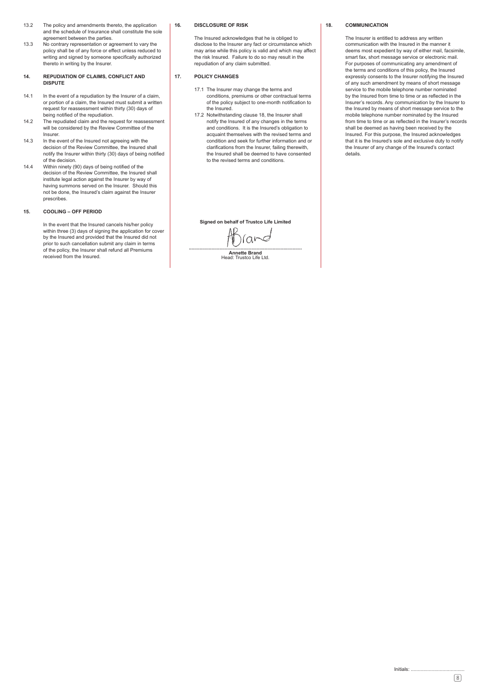- 13.2 The policy and amendments thereto, the application and the schedule of Insurance shall constitute the sole agreement between the parties.
- 13.3 No contrary representation or agreement to vary the policy shall be of any force or effect unless reduced to writing and signed by someone specifically authorized thereto in writing by the Insurer.

#### **14. REPUDIATION OF CLAIMS, CONFLICT AND DISPUTE**

- 14.1 In the event of a repudiation by the Insurer of a claim, or portion of a claim, the Insured must submit a written request for reassessment within thirty (30) days of being notified of the repudiation.
- 14.2 The repudiated claim and the request for reassessment will be considered by the Review Committee of the Insurer.
- 14.3 In the event of the Insured not agreeing with the decision of the Review Committee, the Insured shall notify the Insurer within thirty (30) days of being notified of the decision.
- 14.4 Within ninety (90) days of being notified of the decision of the Review Committee, the Insured shall institute legal action against the Insurer by way of having summons served on the Insurer. Should this not be done, the Insured's claim against the Insurer prescribes.

#### **15. COOLING – OFF PERIOD**

In the event that the Insured cancels his/her policy within three (3) days of signing the application for cover by the Insured and provided that the Insured did not prior to such cancellation submit any claim in terms of the policy, the Insurer shall refund all Premiums received from the Insured.

#### **16. DISCLOSURE OF RISK**

The Insured acknowledges that he is obliged to disclose to the Insurer any fact or circumstance which may arise while this policy is valid and which may affect the risk Insured. Failure to do so may result in the repudiation of any claim submitted.

#### **17. POLICY CHANGES**

- 17.1 The Insurer may change the terms and conditions, premiums or other contractual terms of the policy subject to one-month notification to the Insured.
- 17.2 Notwithstanding clause 18, the Insurer shall notify the Insured of any changes in the terms and conditions. It is the Insured's obligation to acquaint themselves with the revised terms and condition and seek for further information and or clarifications from the Insurer, failing therewith, the Insured shall be deemed to have consented to the revised terms and conditions.

**Signed on behalf of Trustco Life Limited**

 $\int$ ar **.....................................................................................**

**Annette Brand** Head: Trustco Life Ltd.

#### **18. COMMUNICATION**

The Insurer is entitled to address any written communication with the Insured in the manner it deems most expedient by way of either mail, facsimile, smart fax, short message service or electronic mail. For purposes of communicating any amendment of the terms and conditions of this policy, the Insured expressly consents to the Insurer notifying the Insured of any such amendment by means of short message service to the mobile telephone number nominated by the Insured from time to time or as reflected in the Insurer's records. Any communication by the Insurer to the Insured by means of short message service to the mobile telephone number nominated by the Insured from time to time or as reflected in the Insurer's records shall be deemed as having been received by the Insured. For this purpose, the Insured acknowledges that it is the Insured's sole and exclusive duty to notify the Insurer of any change of the Insured's contact details.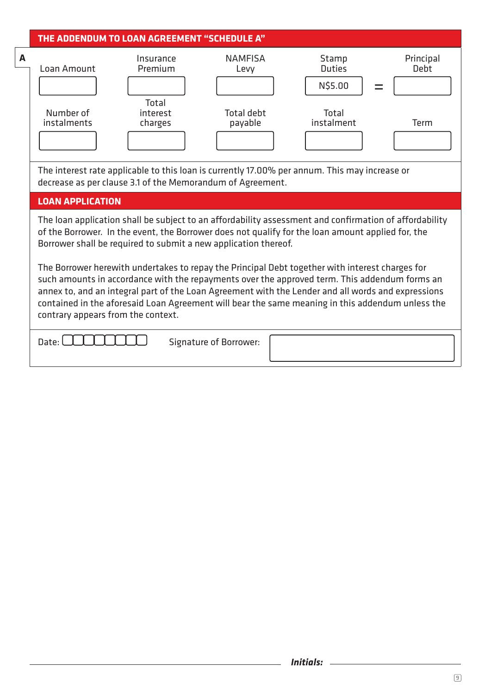|   |                                                                                                                                                                                                                                                                                                                                                                                                                                                  | <b>THE ADDENDUM TO LOAN AGREEMENT "SCHEDULE A"</b>         |                              |                                                                                               |                          |  |  |  |
|---|--------------------------------------------------------------------------------------------------------------------------------------------------------------------------------------------------------------------------------------------------------------------------------------------------------------------------------------------------------------------------------------------------------------------------------------------------|------------------------------------------------------------|------------------------------|-----------------------------------------------------------------------------------------------|--------------------------|--|--|--|
| A | Loan Amount                                                                                                                                                                                                                                                                                                                                                                                                                                      | Insurance<br>Premium                                       | <b>NAMFISA</b><br>Levy       | Stamp<br><b>Duties</b><br>N\$5.00                                                             | Principal<br><b>Debt</b> |  |  |  |
|   | Number of<br>instalments                                                                                                                                                                                                                                                                                                                                                                                                                         | Total<br>interest<br>charges                               | <b>Total debt</b><br>payable | <b>Total</b><br>instalment                                                                    | <b>Term</b>              |  |  |  |
|   |                                                                                                                                                                                                                                                                                                                                                                                                                                                  | decrease as per clause 3.1 of the Memorandum of Agreement. |                              | The interest rate applicable to this loan is currently 17.00% per annum. This may increase or |                          |  |  |  |
|   | <b>LOAN APPLICATION</b>                                                                                                                                                                                                                                                                                                                                                                                                                          |                                                            |                              |                                                                                               |                          |  |  |  |
|   | The loan application shall be subject to an affordability assessment and confirmation of affordability<br>of the Borrower. In the event, the Borrower does not qualify for the loan amount applied for, the<br>Borrower shall be required to submit a new application thereof.                                                                                                                                                                   |                                                            |                              |                                                                                               |                          |  |  |  |
|   | The Borrower herewith undertakes to repay the Principal Debt together with interest charges for<br>such amounts in accordance with the repayments over the approved term. This addendum forms an<br>annex to, and an integral part of the Loan Agreement with the Lender and all words and expressions<br>contained in the aforesaid Loan Agreement will bear the same meaning in this addendum unless the<br>contrary appears from the context. |                                                            |                              |                                                                                               |                          |  |  |  |
|   | Date:                                                                                                                                                                                                                                                                                                                                                                                                                                            |                                                            | Signature of Borrower:       |                                                                                               |                          |  |  |  |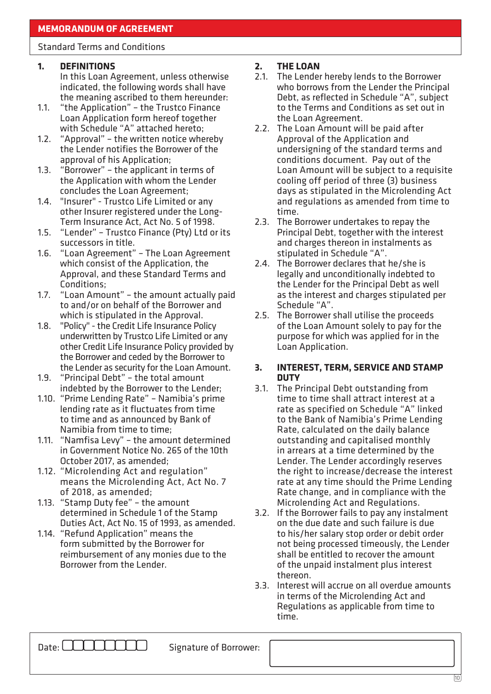### Standard Terms and Conditions

### **1. DEFINITIONS**

- In this Loan Agreement, unless otherwise indicated, the following words shall have the meaning ascribed to them hereunder:
- 1.1. "the Application" the Trustco Finance Loan Application form hereof together with Schedule "A" attached hereto;
- 1.2. "Approval" the written notice whereby the Lender notifies the Borrower of the approval of his Application;
- 1.3. "Borrower" the applicant in terms of the Application with whom the Lender concludes the Loan Agreement;
- 1.4. "Insurer" Trustco Life Limited or any other Insurer registered under the Long-Term Insurance Act, Act No. 5 of 1998.
- 1.5. "Lender" Trustco Finance (Pty) Ltd or its successors in title.
- 1.6. "Loan Agreement" The Loan Agreement which consist of the Application, the Approval, and these Standard Terms and Conditions;
- 1.7. "Loan Amount" the amount actually paid to and/or on behalf of the Borrower and which is stipulated in the Approval.
- 1.8. "Policy" the Credit Life Insurance Policy underwritten by Trustco Life Limited or any other Credit Life Insurance Policy provided by the Borrower and ceded by the Borrower to the Lender as security for the Loan Amount.
- 1.9. "Principal Debt" the total amount indebted by the Borrower to the Lender;
- 1.10. "Prime Lending Rate" Namibia's prime lending rate as it fluctuates from time to time and as announced by Bank of Namibia from time to time;
- 1.11. "Namfisa Levy" the amount determined in Government Notice No. 265 of the 10th October 2017, as amended;
- 1.12. "Microlending Act and regulation" means the Microlending Act, Act No. 7 of 2018, as amended;
- 1.13. "Stamp Duty fee" the amount determined in Schedule 1 of the Stamp Duties Act, Act No. 15 of 1993, as amended.
- 1.14. "Refund Application" means the form submitted by the Borrower for reimbursement of any monies due to the Borrower from the Lender.

### **2. THE LOAN**

- 2.1. The Lender hereby lends to the Borrower who borrows from the Lender the Principal Debt, as reflected in Schedule "A", subject to the Terms and Conditions as set out in the Loan Agreement.
- 2.2. The Loan Amount will be paid after Approval of the Application and undersigning of the standard terms and conditions document. Pay out of the Loan Amount will be subject to a requisite cooling off period of three (3) business days as stipulated in the Microlending Act and regulations as amended from time to time.
- 2.3. The Borrower undertakes to repay the Principal Debt, together with the interest and charges thereon in instalments as stipulated in Schedule "A".
- 2.4. The Borrower declares that he/she is legally and unconditionally indebted to the Lender for the Principal Debt as well as the interest and charges stipulated per Schedule "A".
- 2.5. The Borrower shall utilise the proceeds of the Loan Amount solely to pay for the purpose for which was applied for in the Loan Application.

### **3. INTEREST, TERM, SERVICE AND STAMP DUTY**

- 3.1. The Principal Debt outstanding from time to time shall attract interest at a rate as specified on Schedule "A" linked to the Bank of Namibia's Prime Lending Rate, calculated on the daily balance outstanding and capitalised monthly in arrears at a time determined by the Lender. The Lender accordingly reserves the right to increase/decrease the interest rate at any time should the Prime Lending Rate change, and in compliance with the Microlending Act and Regulations.
- 3.2. If the Borrower fails to pay any instalment on the due date and such failure is due to his/her salary stop order or debit order not being processed timeously, the Lender shall be entitled to recover the amount of the unpaid instalment plus interest thereon.
- 3.3. Interest will accrue on all overdue amounts in terms of the Microlending Act and Regulations as applicable from time to time.

Date: COUCLILIE Signature of Borrower: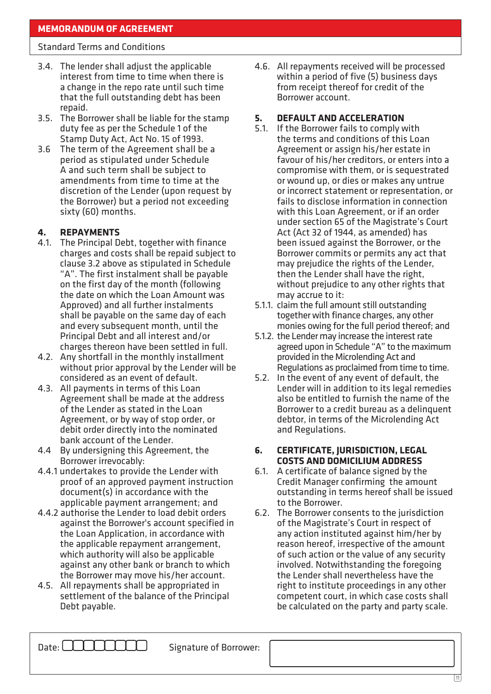### Standard Terms and Conditions

- 3.4. The lender shall adjust the applicable interest from time to time when there is a change in the repo rate until such time that the full outstanding debt has been repaid.
- 3.5. The Borrower shall be liable for the stamp duty fee as per the Schedule 1 of the Stamp Duty Act, Act No. 15 of 1993.
- 3.6 The term of the Agreement shall be a period as stipulated under Schedule A and such term shall be subject to amendments from time to time at the discretion of the Lender (upon request by the Borrower) but a period not exceeding sixty (60) months.

### **4. REPAYMENTS**

- 4.1. The Principal Debt, together with finance charges and costs shall be repaid subject to clause 3.2 above as stipulated in Schedule "A". The first instalment shall be payable on the first day of the month (following the date on which the Loan Amount was Approved) and all further instalments shall be payable on the same day of each and every subsequent month, until the Principal Debt and all interest and/or charges thereon have been settled in full.
- 4.2. Any shortfall in the monthly installment without prior approval by the Lender will be considered as an event of default.
- 4.3. All payments in terms of this Loan Agreement shall be made at the address of the Lender as stated in the Loan Agreement, or by way of stop order, or debit order directly into the nominated bank account of the Lender.
- 4.4 By undersigning this Agreement, the Borrower irrevocably:
- 4.4.1 undertakes to provide the Lender with proof of an approved payment instruction document(s) in accordance with the applicable payment arrangement; and
- 4.4.2 authorise the Lender to load debit orders against the Borrower's account specified in the Loan Application, in accordance with the applicable repayment arrangement, which authority will also be applicable against any other bank or branch to which the Borrower may move his/her account.
- 4.5. All repayments shall be appropriated in settlement of the balance of the Principal Debt payable.

4.6. All repayments received will be processed within a period of five (5) business days from receipt thereof for credit of the Borrower account.

### **5. DEFAULT AND ACCELERATION**

- 5.1. If the Borrower fails to comply with the terms and conditions of this Loan Agreement or assign his/her estate in favour of his/her creditors, or enters into a compromise with them, or is sequestrated or wound up, or dies or makes any untrue or incorrect statement or representation, or fails to disclose information in connection with this Loan Agreement, or if an order under section 65 of the Magistrate's Court Act (Act 32 of 1944, as amended) has been issued against the Borrower, or the Borrower commits or permits any act that may prejudice the rights of the Lender, then the Lender shall have the right, without prejudice to any other rights that may accrue to it:
- 5.1.1. claim the full amount still outstanding together with finance charges, any other monies owing for the full period thereof; and
- 5.1.2. the Lender may increase the interest rate agreed upon in Schedule "A" to the maximum provided in the Microlending Act and Regulations as proclaimed from time to time.
- 5.2. In the event of any event of default, the Lender will in addition to its legal remedies also be entitled to furnish the name of the Borrower to a credit bureau as a delinquent debtor, in terms of the Microlending Act and Regulations.

### **6. CERTIFICATE, JURISDICTION, LEGAL COSTS AND DOMICILIUM ADDRESS**

- 6.1. A certificate of balance signed by the Credit Manager confirming the amount outstanding in terms hereof shall be issued to the Borrower.
- 6.2. The Borrower consents to the jurisdiction of the Magistrate's Court in respect of any action instituted against him/her by reason hereof, irrespective of the amount of such action or the value of any security involved. Notwithstanding the foregoing the Lender shall nevertheless have the right to institute proceedings in any other competent court, in which case costs shall be calculated on the party and party scale.

Date:  $\Box$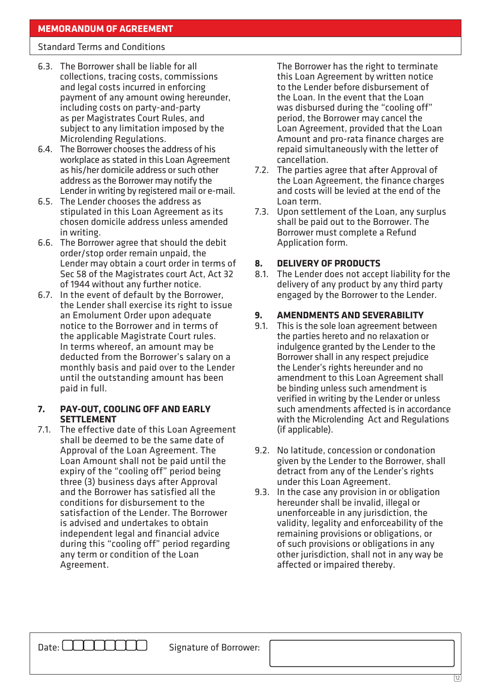### Standard Terms and Conditions

- 6.3. The Borrower shall be liable for all collections, tracing costs, commissions and legal costs incurred in enforcing payment of any amount owing hereunder, including costs on party-and-party as per Magistrates Court Rules, and subject to any limitation imposed by the Microlending Regulations.
- 6.4. The Borrower chooses the address of his workplace as stated in this Loan Agreement as his/her domicile address or such other address as the Borrower may notify the Lender in writing by registered mail or e-mail.
- 6.5. The Lender chooses the address as stipulated in this Loan Agreement as its chosen domicile address unless amended in writing.
- 6.6. The Borrower agree that should the debit order/stop order remain unpaid, the Lender may obtain a court order in terms of Sec 58 of the Magistrates court Act, Act 32 of 1944 without any further notice.
- 6.7. In the event of default by the Borrower, the Lender shall exercise its right to issue an Emolument Order upon adequate notice to the Borrower and in terms of the applicable Magistrate Court rules. In terms whereof, an amount may be deducted from the Borrower's salary on a monthly basis and paid over to the Lender until the outstanding amount has been paid in full.

### **7. PAY-OUT, COOLING OFF AND EARLY SETTLEMENT**

7.1. The effective date of this Loan Agreement shall be deemed to be the same date of Approval of the Loan Agreement. The Loan Amount shall not be paid until the expiry of the "cooling off" period being three (3) business days after Approval and the Borrower has satisfied all the conditions for disbursement to the satisfaction of the Lender. The Borrower is advised and undertakes to obtain independent legal and financial advice during this "cooling off" period regarding any term or condition of the Loan Agreement.

The Borrower has the right to terminate this Loan Agreement by written notice to the Lender before disbursement of the Loan. In the event that the Loan was disbursed during the "cooling off" period, the Borrower may cancel the Loan Agreement, provided that the Loan Amount and pro-rata finance charges are repaid simultaneously with the letter of cancellation.

- 7.2. The parties agree that after Approval of the Loan Agreement, the finance charges and costs will be levied at the end of the Loan term.
- 7.3. Upon settlement of the Loan, any surplus shall be paid out to the Borrower. The Borrower must complete a Refund Application form.

### **8. DELIVERY OF PRODUCTS**

8.1. The Lender does not accept liability for the delivery of any product by any third party engaged by the Borrower to the Lender.

### **9. AMENDMENTS AND SEVERABILITY**

- 9.1. This is the sole loan agreement between the parties hereto and no relaxation or indulgence granted by the Lender to the Borrower shall in any respect prejudice the Lender's rights hereunder and no amendment to this Loan Agreement shall be binding unless such amendment is verified in writing by the Lender or unless such amendments affected is in accordance with the Microlending Act and Regulations (if applicable).
- 9.2. No latitude, concession or condonation given by the Lender to the Borrower, shall detract from any of the Lender's rights under this Loan Agreement.
- 9.3. In the case any provision in or obligation hereunder shall be invalid, illegal or unenforceable in any jurisdiction, the validity, legality and enforceability of the remaining provisions or obligations, or of such provisions or obligations in any other jurisdiction, shall not in any way be affected or impaired thereby.

Date: COUCLILIE Signature of Borrower: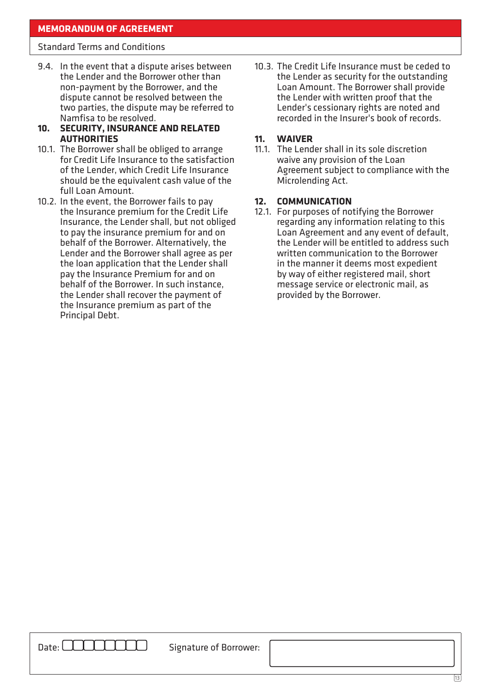### **MEMORANDUM OF AGREEMENT**

#### Standard Terms and Conditions

- 9.4. In the event that a dispute arises between the Lender and the Borrower other than non-payment by the Borrower, and the dispute cannot be resolved between the two parties, the dispute may be referred to Namfisa to be resolved.
- **10. SECURITY, INSURANCE AND RELATED AUTHORITIES**
- 10.1. The Borrower shall be obliged to arrange for Credit Life Insurance to the satisfaction of the Lender, which Credit Life Insurance should be the equivalent cash value of the full Loan Amount.
- 10.2. In the event, the Borrower fails to pay the Insurance premium for the Credit Life Insurance, the Lender shall, but not obliged to pay the insurance premium for and on behalf of the Borrower. Alternatively, the Lender and the Borrower shall agree as per the loan application that the Lender shall pay the Insurance Premium for and on behalf of the Borrower. In such instance, the Lender shall recover the payment of the Insurance premium as part of the Principal Debt.

10.3. The Credit Life Insurance must be ceded to the Lender as security for the outstanding Loan Amount. The Borrower shall provide the Lender with written proof that the Lender's cessionary rights are noted and recorded in the Insurer's book of records.

#### **11. WAIVER**

11.1. The Lender shall in its sole discretion waive any provision of the Loan Agreement subject to compliance with the Microlending Act.

#### **12. COMMUNICATION**

12.1. For purposes of notifying the Borrower regarding any information relating to this Loan Agreement and any event of default, the Lender will be entitled to address such written communication to the Borrower in the manner it deems most expedient by way of either registered mail, short message service or electronic mail, as provided by the Borrower.

Date: COUCLILIE Signature of Borrower: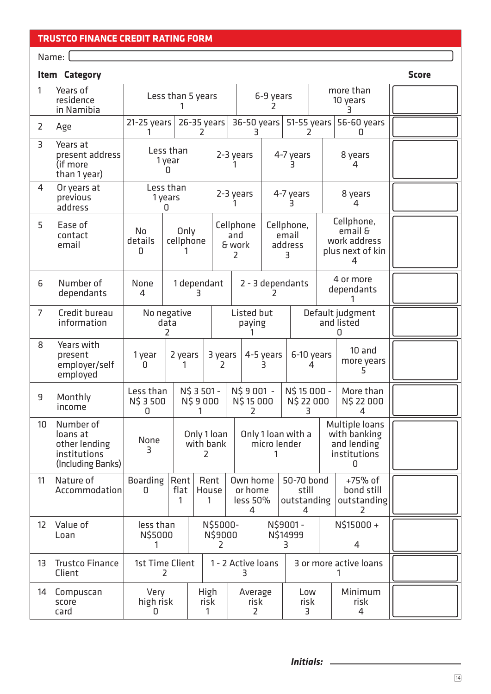### **TRUSTCO FINANCE CREDIT RATING FORM**

Name: University of the University of the University of the University of the University of the University of the U

| <b>Item Category</b> |                                                                             |                             |                            |                               |           |                    |                                                  | <b>Score</b>              |                                         |                                                                |                                           |  |                                                                    |  |
|----------------------|-----------------------------------------------------------------------------|-----------------------------|----------------------------|-------------------------------|-----------|--------------------|--------------------------------------------------|---------------------------|-----------------------------------------|----------------------------------------------------------------|-------------------------------------------|--|--------------------------------------------------------------------|--|
| $\mathbf{1}$         | Years of<br>residence<br>in Namibia                                         | Less than 5 years           |                            |                               |           |                    | more than<br>6-9 years<br>10 years               |                           |                                         |                                                                |                                           |  |                                                                    |  |
| 2                    | Age                                                                         | $21-25$ years               |                            | 26-35 years                   |           |                    | 36-50 years                                      |                           | $51-55$ years                           |                                                                | 56-60 years<br>0                          |  |                                                                    |  |
| 3                    | Years at<br>present address<br>(if more<br>than 1 year)                     |                             | Less than<br>1 year<br>0   |                               | 2-3 years |                    |                                                  |                           | 4-7 years                               |                                                                | 8 years<br>4                              |  |                                                                    |  |
| 4                    | Or years at<br>previous<br>address                                          |                             | Less than<br>1 years<br>11 |                               | 2-3 years |                    |                                                  |                           | 4-7 years<br>3                          |                                                                | 8 years<br>4                              |  |                                                                    |  |
| 5                    | Ease of<br>contact<br>email                                                 | No<br>details<br>0          |                            | Only<br>cellphone             |           | and<br>& work<br>2 | Cellphone<br>Cellphone,<br>email<br>address<br>3 |                           |                                         | Cellphone,<br>email &<br>work address<br>plus next of kin<br>4 |                                           |  |                                                                    |  |
| 6                    | Number of<br>dependants                                                     | None<br>4                   |                            | 1 dependant<br>3.             |           |                    |                                                  | 2 - 3 dependants          |                                         | 4 or more<br>dependants                                        |                                           |  |                                                                    |  |
| $\overline{7}$       | Credit bureau<br>information                                                |                             | data<br>2                  | No negative                   |           |                    | Listed but<br>paying                             |                           | Default judgment<br>and listed<br>n     |                                                                |                                           |  |                                                                    |  |
| 8                    | Years with<br>present<br>employer/self<br>employed                          | 1 year<br><sup>n</sup>      |                            | 2 years<br>3 years<br>2       |           |                    | 4-5 years                                        |                           | 6-10 years<br>4                         |                                                                | $10$ and<br>more years<br>5.              |  |                                                                    |  |
| 9                    | Monthly<br>income                                                           | Less than<br>N\$ 3 500<br>0 |                            | N\$ 3 501 -<br>N\$9000<br>1   |           |                    | N\$9001-<br>N\$ 15 000 -<br>N\$15000<br>2        |                           | N\$ 22 000<br>3                         |                                                                | More than<br>N\$ 22 000<br>4              |  |                                                                    |  |
| 10                   | Number of<br>loans at<br>other lending<br>institutions<br>(Including Banks) | None<br>3                   |                            | Only 1 loan<br>with bank<br>2 |           |                    |                                                  |                           | Only 1 loan with a<br>micro lender      |                                                                |                                           |  | Multiple loans<br>with banking<br>and lending<br>institutions<br>0 |  |
| 11                   | Nature of<br>Accommodation                                                  | <b>Boarding</b><br>0        | Rent<br>flat<br>1          | Rent<br>House<br>1            |           |                    | Own home<br>or home<br>less 50%<br>4             |                           | 50-70 bond<br>still<br>outstanding<br>4 |                                                                | +75% of<br>bond still<br>outstanding<br>2 |  |                                                                    |  |
| $12 \overline{ }$    | Value of<br>Loan                                                            | less than<br>N\$5000        |                            | N\$5000-<br>N\$9000<br>2      |           |                    |                                                  | N\$9001-<br>N\$14999<br>3 |                                         |                                                                | N\$15000+<br>$\overline{4}$               |  |                                                                    |  |
| 13                   | <b>Trustco Finance</b><br>Client                                            | 1st Time Client<br>2        |                            |                               |           |                    |                                                  |                           | 1 - 2 Active loans<br>3                 |                                                                | 3 or more active loans                    |  |                                                                    |  |
| 14                   | Compuscan<br>score<br>card                                                  | Very<br>high risk<br>0      |                            | High<br>risk                  |           |                    | Average<br>risk<br>2                             |                           | Low<br>risk<br>3                        |                                                                | Minimum<br>risk<br>4                      |  |                                                                    |  |

14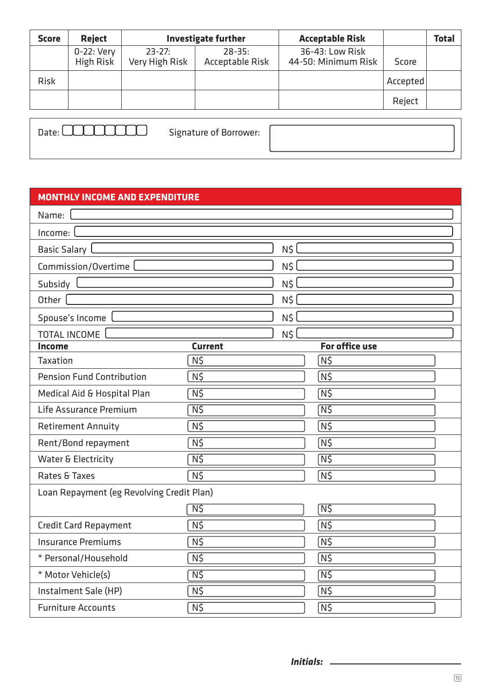| <b>Score</b> | <b>Reject</b>           | <b>Investigate further</b>   |                               | <b>Acceptable Risk</b>                 |          | <b>Total</b> |
|--------------|-------------------------|------------------------------|-------------------------------|----------------------------------------|----------|--------------|
|              | 0-22: Very<br>High Risk | $23 - 27:$<br>Very High Risk | $28 - 35:$<br>Acceptable Risk | 36-43: Low Risk<br>44-50: Minimum Risk | Score    |              |
| <b>Risk</b>  |                         |                              |                               |                                        | Accepted |              |
|              |                         |                              |                               |                                        | Reject   |              |

| Date: | Signature of Borrower: |  |
|-------|------------------------|--|
|       |                        |  |

### **MONTHLY INCOME AND EXPENDITURE**

| Name:                                     |                            |       |                            |
|-------------------------------------------|----------------------------|-------|----------------------------|
| Income:                                   |                            |       |                            |
| Basic Salary                              |                            | N\$ l |                            |
| Commission/Overtime                       |                            | N\$   |                            |
| Subsidy                                   |                            | N\$   |                            |
| Other                                     |                            | N\$   |                            |
| Spouse's Income                           |                            | N\$   |                            |
| <b>TOTAL INCOME</b>                       |                            | N\$   |                            |
| Income                                    | <b>Current</b>             |       | <b>For office use</b>      |
| <b>Taxation</b>                           | N5                         |       | N5                         |
| <b>Pension Fund Contribution</b>          | N\$                        |       | N5                         |
| Medical Aid & Hospital Plan               | N5                         |       | $\overline{\mathsf{N}}$ \$ |
| Life Assurance Premium                    | N5                         |       | $\overline{\mathsf{N}}$ \$ |
| <b>Retirement Annuity</b>                 | $N\zeta$                   |       | N5                         |
| Rent/Bond repayment                       | N5                         |       | N\$                        |
| Water & Electricity                       | N5                         |       | $\overline{\mathsf{N}}$ \$ |
| Rates & Taxes                             | N5                         |       | N\$                        |
| Loan Repayment (eg Revolving Credit Plan) |                            |       |                            |
|                                           | $N\zeta$                   |       | N\$                        |
| <b>Credit Card Repayment</b>              | N5                         |       | N5                         |
| <b>Insurance Premiums</b>                 | N5                         |       | N5                         |
| * Personal/Household                      | N5                         |       | N5                         |
| * Motor Vehicle(s)                        | $\overline{\mathsf{N}}$ \$ |       | N\$                        |
| Instalment Sale (HP)                      | $N\zeta$                   |       | N5                         |
| <b>Furniture Accounts</b>                 | $N\frac{2}{3}$             |       | N5                         |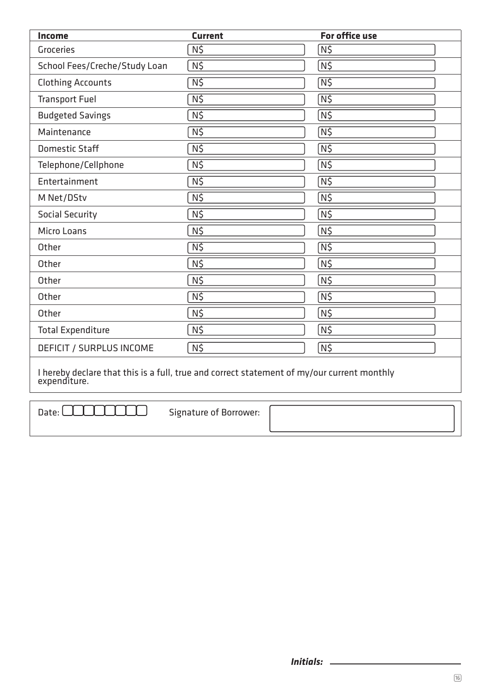| Income                        | <b>Current</b> | <b>For office use</b>      |
|-------------------------------|----------------|----------------------------|
| <b>Groceries</b>              | $N\zeta$       | N5                         |
| School Fees/Creche/Study Loan | $N\zeta$       | N\$                        |
| <b>Clothing Accounts</b>      | $N\zeta$       | $\overline{\mathsf{N}}$ \$ |
| <b>Transport Fuel</b>         | N5             | $\overline{\mathsf{N}}$ \$ |
| <b>Budgeted Savings</b>       | $N\zeta$       | N5                         |
| Maintenance                   | $N\zeta$       | N5                         |
| Domestic Staff                | $N\zeta$       | $\overline{\mathsf{N}}$ \$ |
| Telephone/Cellphone           | N5             | N5                         |
| Entertainment                 | $N\zeta$       | N5                         |
| M Net/DStv                    | $N\zeta$       | N5                         |
| <b>Social Security</b>        | $N\zeta$       | N5                         |
| <b>Micro Loans</b>            | N\$            | $N\zeta$                   |
| Other                         | N5             | $N\zeta$                   |
| Other                         | $N\zeta$       | $N\zeta$                   |
| Other                         | N\$            | N\$                        |
| Other                         | $N\frac{2}{3}$ | $N\zeta$                   |
| Other                         | N\$            | N5                         |
| <b>Total Expenditure</b>      | $N\zeta$       | N5                         |
| DEFICIT / SURPLUS INCOME      | N\$            | N5                         |

I hereby declare that this is a full, true and correct statement of my/our current monthly expenditure.

Date: COOCOOOOO Signature of Borrower: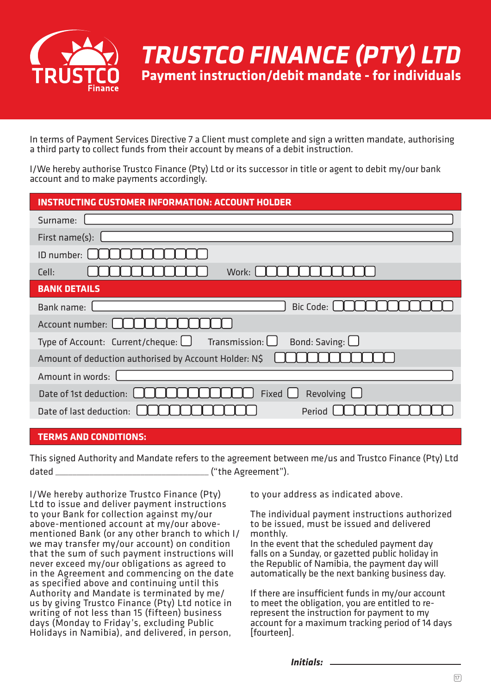

In terms of Payment Services Directive 7 a Client must complete and sign a written mandate, authorising a third party to collect funds from their account by means of a debit instruction.

I/We hereby authorise Trustco Finance (Pty) Ltd or its successor in title or agent to debit my/our bank account and to make payments accordingly.

| <b>INSTRUCTING CUSTOMER INFORMATION: ACCOUNT HOLDER</b>                            |  |  |  |
|------------------------------------------------------------------------------------|--|--|--|
| Surname:                                                                           |  |  |  |
| First name(s):                                                                     |  |  |  |
| ID number:                                                                         |  |  |  |
| Work:<br>Cell:                                                                     |  |  |  |
| <b>BANK DETAILS</b>                                                                |  |  |  |
| <b>Bic Code:</b><br>Bank name:                                                     |  |  |  |
| Account number:                                                                    |  |  |  |
| Bond: Saving: $\Box$<br>Transmission: L<br>Type of Account: Current/cheque: $\Box$ |  |  |  |
| Amount of deduction authorised by Account Holder: N\$                              |  |  |  |
| Amount in words:                                                                   |  |  |  |
| Fixed $\Box$<br>Revolving $\Box$<br>Date of 1st deduction:                         |  |  |  |
| Period<br>Date of last deduction:                                                  |  |  |  |
|                                                                                    |  |  |  |

### **TERMS AND CONDITIONS:**

This signed Authority and Mandate refers to the agreement between me/us and Trustco Finance (Pty) Ltd dated \_\_\_\_\_\_\_\_\_\_\_\_\_\_\_\_\_\_\_\_\_\_\_\_\_\_\_\_\_\_\_\_\_\_\_\_ ("the Agreement").

I/We hereby authorize Trustco Finance (Pty) Ltd to issue and deliver payment instructions to your Bank for collection against my/our above-mentioned account at my/our abovementioned Bank (or any other branch to which I/ we may transfer my/our account) on condition that the sum of such payment instructions will never exceed my/our obligations as agreed to in the Agreement and commencing on the date as specified above and continuing until this Authority and Mandate is terminated by me/ us by giving Trustco Finance (Pty) Ltd notice in writing of not less than 15 (fifteen) business days (Monday to Friday's, excluding Public Holidays in Namibia), and delivered, in person,

to your address as indicated above.

The individual payment instructions authorized to be issued, must be issued and delivered monthly.

In the event that the scheduled payment day falls on a Sunday, or gazetted public holiday in the Republic of Namibia, the payment day will automatically be the next banking business day.

If there are insufficient funds in my/our account to meet the obligation, you are entitled to rerepresent the instruction for payment to my account for a maximum tracking period of 14 days [fourteen].

*Initials:*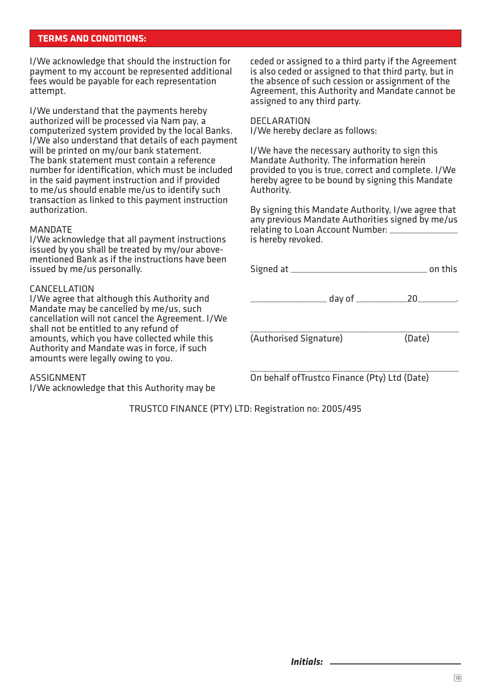### **TERMS AND CONDITIONS:**

I/We acknowledge that should the instruction for payment to my account be represented additional fees would be payable for each representation attempt.

I/We understand that the payments hereby authorized will be processed via Nam pay, a computerized system provided by the local Banks. I/We also understand that details of each payment will be printed on my/our bank statement. The bank statement must contain a reference number for identification, which must be included in the said payment instruction and if provided to me/us should enable me/us to identify such transaction as linked to this payment instruction authorization.

#### **MANDATE**

I/We acknowledge that all payment instructions issued by you shall be treated by my/our abovementioned Bank as if the instructions have been issued by me/us personally.

#### CANCELLATION

I/We agree that although this Authority and Mandate may be cancelled by me/us, such cancellation will not cancel the Agreement. I/We shall not be entitled to any refund of amounts, which you have collected while this Authority and Mandate was in force, if such amounts were legally owing to you.

#### ASSIGNMENT

I/We acknowledge that this Authority may be

ceded or assigned to a third party if the Agreement is also ceded or assigned to that third party, but in the absence of such cession or assignment of the Agreement, this Authority and Mandate cannot be assigned to any third party.

**DECLARATION** I/We hereby declare as follows:

I/We have the necessary authority to sign this Mandate Authority. The information herein provided to you is true, correct and complete. I/We hereby agree to be bound by signing this Mandate Authority.

By signing this Mandate Authority, I/we agree that any previous Mandate Authorities signed by me/us relating to Loan Account Number: is hereby revoked.

|                        |                                      | on this |
|------------------------|--------------------------------------|---------|
|                        | day of _____________________20______ |         |
| (Authorised Signature) |                                      | (Date)  |

\_\_\_\_\_\_\_\_\_\_\_\_\_\_\_\_\_\_\_\_\_\_\_\_\_\_\_\_\_\_\_\_\_\_\_\_\_\_\_\_\_\_\_\_\_\_\_\_\_ On behalf ofTrustco Finance (Pty) Ltd (Date)

TRUSTCO FINANCE (PTY) LTD: Registration no: 2005/495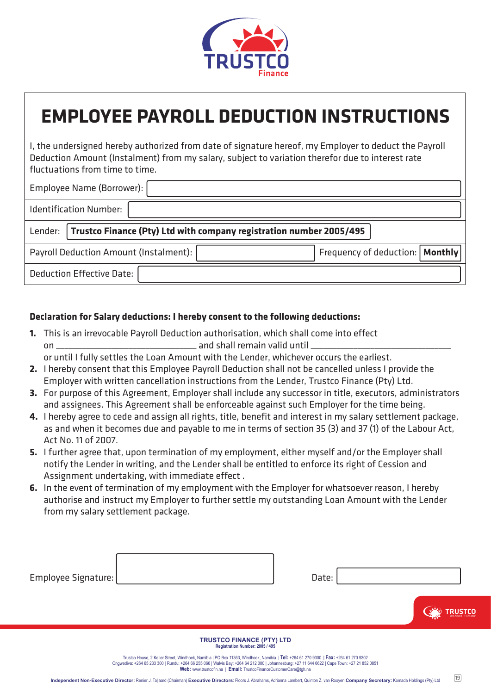

## **EMPLOYEE PAYROLL DEDUCTION INSTRUCTIONS**

I, the undersigned hereby authorized from date of signature hereof, my Employer to deduct the Payroll Deduction Amount (Instalment) from my salary, subject to variation therefor due to interest rate fluctuations from time to time.

| Employee Name (Borrower):                                                     |                                   |  |
|-------------------------------------------------------------------------------|-----------------------------------|--|
| <b>Identification Number:</b>                                                 |                                   |  |
| Lender:   Trustco Finance (Pty) Ltd with company registration number 2005/495 |                                   |  |
| Payroll Deduction Amount (Instalment):                                        | Frequency of deduction:   Monthly |  |
| <b>Deduction Effective Date:</b>                                              |                                   |  |

### **Declaration for Salary deductions: I hereby consent to the following deductions:**

**1.** This is an irrevocable Payroll Deduction authorisation, which shall come into effect on \_\_\_\_\_\_\_\_\_\_\_\_\_\_\_\_\_\_\_\_\_\_\_\_\_\_\_\_\_\_\_\_\_ and shall remain valid until \_\_\_\_\_\_\_\_\_\_\_\_\_\_\_\_\_\_\_\_\_\_\_\_\_\_\_\_\_\_\_\_\_

or until I fully settles the Loan Amount with the Lender, whichever occurs the earliest.

- **2.** I hereby consent that this Employee Payroll Deduction shall not be cancelled unless I provide the Employer with written cancellation instructions from the Lender, Trustco Finance (Pty) Ltd.
- **3.** For purpose of this Agreement, Employer shall include any successor in title, executors, administrators and assignees. This Agreement shall be enforceable against such Employer for the time being.
- **4.** I hereby agree to cede and assign all rights, title, benefit and interest in my salary settlement package, as and when it becomes due and payable to me in terms of section 35 (3) and 37 (1) of the Labour Act, Act No. 11 of 2007.
- **5.** I further agree that, upon termination of my employment, either myself and/or the Employer shall notify the Lender in writing, and the Lender shall be entitled to enforce its right of Cession and Assignment undertaking, with immediate effect .
- **6.** In the event of termination of my employment with the Employer for whatsoever reason, I hereby authorise and instruct my Employer to further settle my outstanding Loan Amount with the Lender from my salary settlement package.

| Employee Signature: |                                  | Date: |                                                            |
|---------------------|----------------------------------|-------|------------------------------------------------------------|
|                     |                                  |       | <b>STCO</b><br><b>THE LAW AND SCHOOL</b><br>$\overline{Y}$ |
|                     | <b>TRUSTCO FINANCE (PTY) LTD</b> |       |                                                            |

**TRUSTCO FINANCE (PTY) LTD Registration Number: 2005 / 495**

Trustco House, 2 Keller Street, Windhoek, Namibia | PO Box 11363, Windhoek, Namibia | **Tel:** +264 61 270 9300 | **Fax:** +264 61 270 9302 Ongwediva: +264 65 233 300 | Rundu: +264 66 255 066 | Walvis Bay: +264 64 212 000 | Johannesburg: +27 11 644 6622 | Cape Town: +27 21 852 0851 **Web:** www.trustcofin.na | **Email:** TrustcoFinanceCustomerCare@tgh.na

19